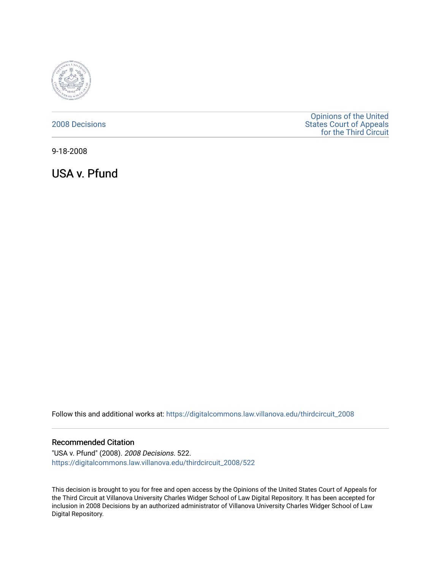

### [2008 Decisions](https://digitalcommons.law.villanova.edu/thirdcircuit_2008)

[Opinions of the United](https://digitalcommons.law.villanova.edu/thirdcircuit)  [States Court of Appeals](https://digitalcommons.law.villanova.edu/thirdcircuit)  [for the Third Circuit](https://digitalcommons.law.villanova.edu/thirdcircuit) 

9-18-2008

USA v. Pfund

Follow this and additional works at: [https://digitalcommons.law.villanova.edu/thirdcircuit\\_2008](https://digitalcommons.law.villanova.edu/thirdcircuit_2008?utm_source=digitalcommons.law.villanova.edu%2Fthirdcircuit_2008%2F522&utm_medium=PDF&utm_campaign=PDFCoverPages) 

#### Recommended Citation

"USA v. Pfund" (2008). 2008 Decisions. 522. [https://digitalcommons.law.villanova.edu/thirdcircuit\\_2008/522](https://digitalcommons.law.villanova.edu/thirdcircuit_2008/522?utm_source=digitalcommons.law.villanova.edu%2Fthirdcircuit_2008%2F522&utm_medium=PDF&utm_campaign=PDFCoverPages)

This decision is brought to you for free and open access by the Opinions of the United States Court of Appeals for the Third Circuit at Villanova University Charles Widger School of Law Digital Repository. It has been accepted for inclusion in 2008 Decisions by an authorized administrator of Villanova University Charles Widger School of Law Digital Repository.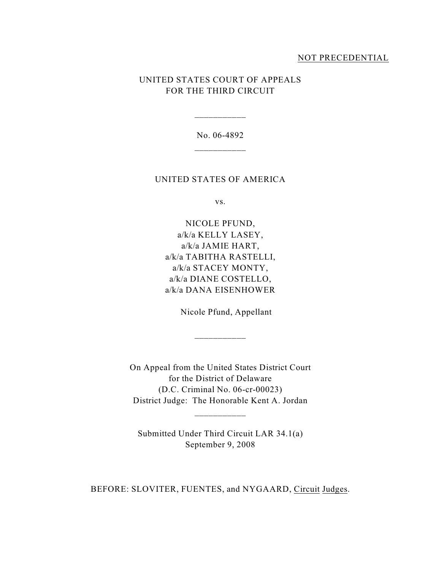#### NOT PRECEDENTIAL

## UNITED STATES COURT OF APPEALS FOR THE THIRD CIRCUIT

No. 06-4892 \_\_\_\_\_\_\_\_\_\_\_

\_\_\_\_\_\_\_\_\_\_\_

### UNITED STATES OF AMERICA

vs.

NICOLE PFUND, a/k/a KELLY LASEY, a/k/a JAMIE HART, a/k/a TABITHA RASTELLI, a/k/a STACEY MONTY, a/k/a DIANE COSTELLO, a/k/a DANA EISENHOWER

Nicole Pfund, Appellant

On Appeal from the United States District Court for the District of Delaware (D.C. Criminal No. 06-cr-00023) District Judge: The Honorable Kent A. Jordan

Submitted Under Third Circuit LAR 34.1(a) September 9, 2008

BEFORE: SLOVITER, FUENTES, and NYGAARD, Circuit Judges.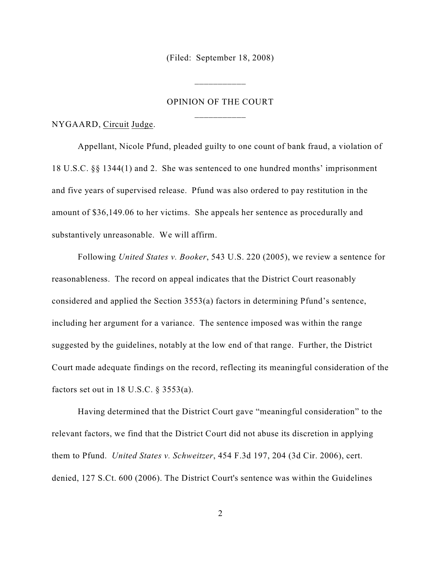(Filed: September 18, 2008)

\_\_\_\_\_\_\_\_\_\_\_

# OPINION OF THE COURT \_\_\_\_\_\_\_\_\_\_\_

NYGAARD, Circuit Judge.

Appellant, Nicole Pfund, pleaded guilty to one count of bank fraud, a violation of 18 U.S.C. §§ 1344(1) and 2. She was sentenced to one hundred months' imprisonment and five years of supervised release. Pfund was also ordered to pay restitution in the amount of \$36,149.06 to her victims. She appeals her sentence as procedurally and substantively unreasonable. We will affirm.

Following *United States v. Booker*, 543 U.S. 220 (2005), we review a sentence for reasonableness. The record on appeal indicates that the District Court reasonably considered and applied the Section 3553(a) factors in determining Pfund's sentence, including her argument for a variance. The sentence imposed was within the range suggested by the guidelines, notably at the low end of that range. Further, the District Court made adequate findings on the record, reflecting its meaningful consideration of the factors set out in 18 U.S.C.  $\S$  3553(a).

Having determined that the District Court gave "meaningful consideration" to the relevant factors, we find that the District Court did not abuse its discretion in applying them to Pfund. *United States v. Schweitzer*, 454 F.3d 197, 204 (3d Cir. 2006), cert. denied, 127 S.Ct. 600 (2006). The District Court's sentence was within the Guidelines